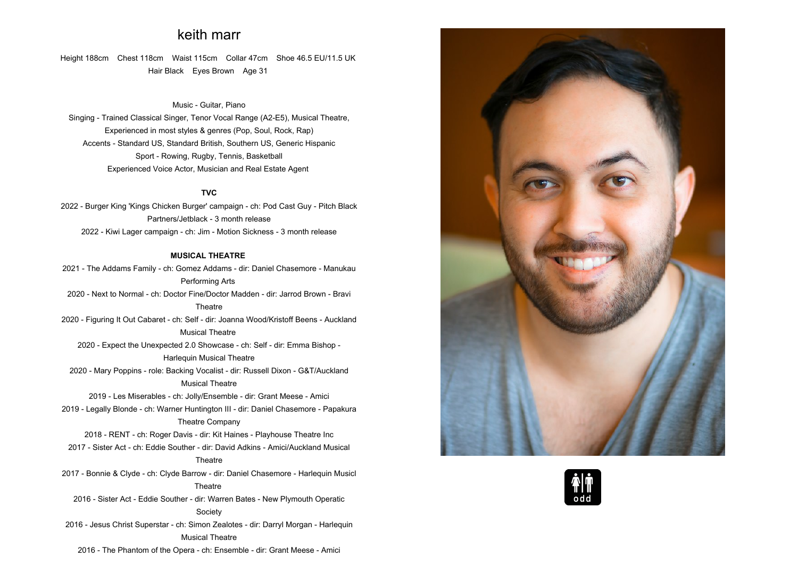# **keith marr**

**Height 188cm Chest 118cm Waist 115cm Collar 47cm Shoe 46.5 EU/11.5 UK Hair Black Eyes Brown Age <sup>31</sup>**

### **Music - Guitar, Piano**

**Singing - Trained Classical Singer, Tenor Vocal Range (A2-E5), Musical Theatre, Experienced in most styles & genres (Pop, Soul, Rock, Rap) Accents - Standard US, Standard British, Southern US, Generic Hispanic Sport - Rowing, Rugby, Tennis, Basketball Experienced Voice Actor, Musician and Real Estate Agent** 

#### **TVC**

 **2022 - Burger King 'Kings Chicken Burger' campaign - ch: Pod Cast Guy - Pitch Black Partners/Jetblack - <sup>3</sup> month release 2022 - Kiwi Lager campaign - ch: Jim - Motion Sickness - <sup>3</sup> month release**

## **MUSICAL THEATRE**

**2021 - The Addams Family - ch: Gomez Addams - dir: Daniel Chasemore - Manukau Performing Arts 2020 - Next to Normal - ch: Doctor Fine/Doctor Madden - dir: Jarrod Brown - Bravi Theatre2020 - Figuring It Out Cabaret - ch: Self - dir: Joanna Wood/Kristoff Beens - Auckland Musical Theatre 2020 - Expect the Unexpected 2.0 Showcase - ch: Self - dir: Emma Bishop - Harlequin Musical Theatre 2020 - Mary Poppins - role: Backing Vocalist - dir: Russell Dixon - G&T/Auckland Musical Theatre2019 - Les Miserables - ch: Jolly/Ensemble - dir: Grant Meese - Amici 2019 - Legally Blonde - ch: Warner Huntington III - dir: Daniel Chasemore - Papakura Theatre Company 2018 - RENT - ch: Roger Davis - dir: Kit Haines - Playhouse Theatre Inc 2017 - Sister Act - ch: Eddie Souther - dir: David Adkins - Amici/Auckland Musical Theatre2017 - Bonnie & Clyde - ch: Clyde Barrow - dir: Daniel Chasemore - Harlequin Musicl Theatre 2016 - Sister Act - Eddie Souther - dir: Warren Bates - New Plymouth Operatic Society 2016 - Jesus Christ Superstar - ch: Simon Zealotes - dir: Darryl Morgan - Harlequin Musical Theatre**

**2016 - The Phantom of the Opera - ch: Ensemble - dir: Grant Meese - Amici**